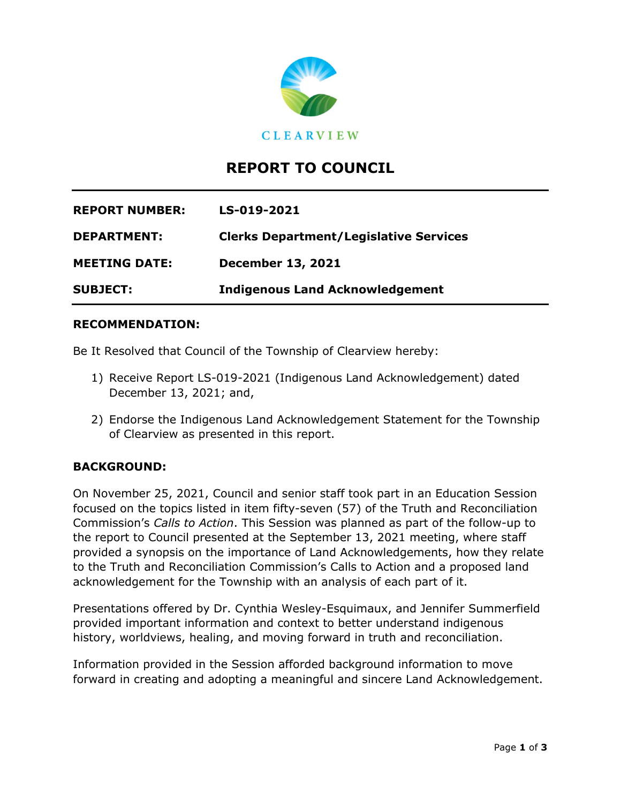

# **REPORT TO COUNCIL**

| <b>REPORT NUMBER:</b> | LS-019-2021                                   |
|-----------------------|-----------------------------------------------|
| <b>DEPARTMENT:</b>    | <b>Clerks Department/Legislative Services</b> |
| <b>MEETING DATE:</b>  | <b>December 13, 2021</b>                      |
| <b>SUBJECT:</b>       | <b>Indigenous Land Acknowledgement</b>        |

#### **RECOMMENDATION:**

Be It Resolved that Council of the Township of Clearview hereby:

- 1) Receive Report LS-019-2021 (Indigenous Land Acknowledgement) dated December 13, 2021; and,
- 2) Endorse the Indigenous Land Acknowledgement Statement for the Township of Clearview as presented in this report.

### **BACKGROUND:**

On November 25, 2021, Council and senior staff took part in an Education Session focused on the topics listed in item fifty-seven (57) of the Truth and Reconciliation Commission's *Calls to Action*. This Session was planned as part of the follow-up to the report to Council presented at the September 13, 2021 meeting, where staff provided a synopsis on the importance of Land Acknowledgements, how they relate to the Truth and Reconciliation Commission's Calls to Action and a proposed land acknowledgement for the Township with an analysis of each part of it.

Presentations offered by Dr. Cynthia Wesley-Esquimaux, and Jennifer Summerfield provided important information and context to better understand indigenous history, worldviews, healing, and moving forward in truth and reconciliation.

Information provided in the Session afforded background information to move forward in creating and adopting a meaningful and sincere Land Acknowledgement.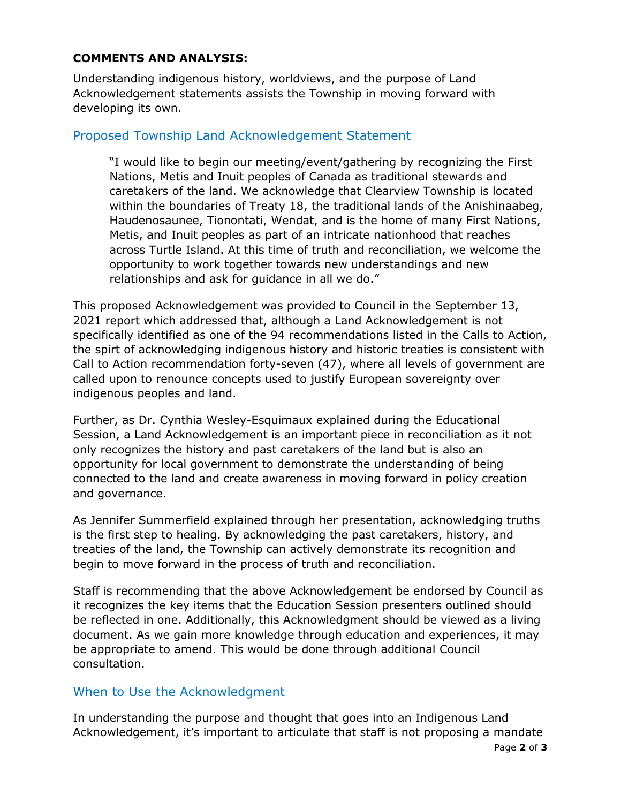#### **COMMENTS AND ANALYSIS:**

Understanding indigenous history, worldviews, and the purpose of Land Acknowledgement statements assists the Township in moving forward with developing its own.

## Proposed Township Land Acknowledgement Statement

"I would like to begin our meeting/event/gathering by recognizing the First Nations, Metis and Inuit peoples of Canada as traditional stewards and caretakers of the land. We acknowledge that Clearview Township is located within the boundaries of Treaty 18, the traditional lands of the Anishinaabeg, Haudenosaunee, Tionontati, Wendat, and is the home of many First Nations, Metis, and Inuit peoples as part of an intricate nationhood that reaches across Turtle Island. At this time of truth and reconciliation, we welcome the opportunity to work together towards new understandings and new relationships and ask for guidance in all we do."

This proposed Acknowledgement was provided to Council in the September 13, 2021 report which addressed that, although a Land Acknowledgement is not specifically identified as one of the 94 recommendations listed in the Calls to Action, the spirt of acknowledging indigenous history and historic treaties is consistent with Call to Action recommendation forty-seven (47), where all levels of government are called upon to renounce concepts used to justify European sovereignty over indigenous peoples and land.

Further, as Dr. Cynthia Wesley-Esquimaux explained during the Educational Session, a Land Acknowledgement is an important piece in reconciliation as it not only recognizes the history and past caretakers of the land but is also an opportunity for local government to demonstrate the understanding of being connected to the land and create awareness in moving forward in policy creation and governance.

As Jennifer Summerfield explained through her presentation, acknowledging truths is the first step to healing. By acknowledging the past caretakers, history, and treaties of the land, the Township can actively demonstrate its recognition and begin to move forward in the process of truth and reconciliation.

Staff is recommending that the above Acknowledgement be endorsed by Council as it recognizes the key items that the Education Session presenters outlined should be reflected in one. Additionally, this Acknowledgment should be viewed as a living document. As we gain more knowledge through education and experiences, it may be appropriate to amend. This would be done through additional Council consultation.

### When to Use the Acknowledgment

In understanding the purpose and thought that goes into an Indigenous Land Acknowledgement, it's important to articulate that staff is not proposing a mandate